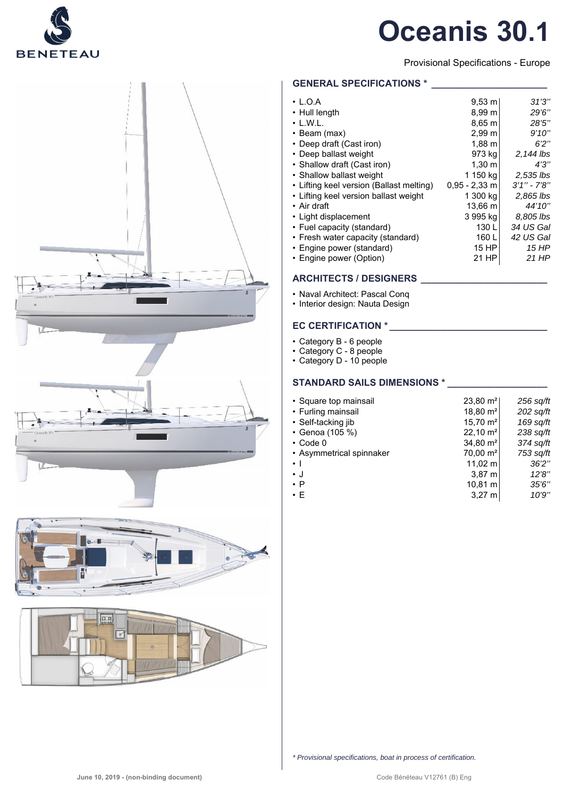

# **Oceanis 30.1**

Provisional Specifications - Europe

# **GENERAL SPECIFICATIONS \***

| $\cdot$ L.O.A                            | $9,53 \; m$       | 31'3''          |
|------------------------------------------|-------------------|-----------------|
| • Hull length                            | 8.99 <sub>m</sub> | 29'6"           |
| $\cdot$ L.W.L.                           | $8,65 \; m$       | 28'5''          |
| $\cdot$ Beam (max)                       | 2,99 m            | 9'10''          |
| • Deep draft (Cast iron)                 | $1,88 \; m$       | 6'2''           |
| • Deep ballast weight                    | 973 kg            | 2,144 lbs       |
| • Shallow draft (Cast iron)              | $1,30 \; m$       | 4'3''           |
| • Shallow ballast weight                 | 1 150 kg          | 2,535 lbs       |
| • Lifting keel version (Ballast melting) | $0.95 - 2.33$ m   | $3'1'' - 7'8''$ |
| • Lifting keel version ballast weight    | 1 300 kg          | 2,865 lbs       |
| • Air draft                              | 13.66 m           | 44'10''         |
| • Light displacement                     | 3 995 kg          | 8,805 lbs       |
| • Fuel capacity (standard)               | 130 L             | 34 US Gal       |
| • Fresh water capacity (standard)        | 160 L             | 42 US Gal       |
| • Engine power (standard)                | 15 HP             | 15 HP           |
| • Engine power (Option)                  | 21 HP             | 21 HP           |

# **ARCHITECTS / DESIGNERS \_\_\_\_\_\_\_\_\_\_\_\_\_\_\_\_\_\_\_\_\_\_\_\_**

• Naval Architect: Pascal Conq

• Interior design: Nauta Design

# **EC CERTIFICATION \***

- Category B 6 people
- Category C 8 people
- Category D 10 people

# STANDARD SAILS DIMENSIONS \*

| • Square top mainsail    | $23,80 \text{ m}^2$ | 256 sq/ft   |
|--------------------------|---------------------|-------------|
| • Furling mainsail       | $18,80 \text{ m}^2$ | $202$ sq/ft |
| • Self-tacking jib       | $15,70 \text{ m}^2$ | 169 sq/ft   |
| • Genoa (105 %)          | $22,10 \text{ m}^2$ | 238 sq/ft   |
| $\cdot$ Code 0           | 34,80 $m2$          | 374 sq/ft   |
| • Asymmetrical spinnaker | $70,00 \text{ m}^2$ | 753 sq/ft   |
| $\cdot$ 1                | $11,02 \; m$        | 36'2''      |
| $\cdot$ J                | $3,87 \; m$         | 12'8''      |
| $\cdot$ P                | 10,81 m             | 35'6''      |
| $\cdot E$                | $3,27 \; m$         | 10'9''      |
|                          |                     |             |



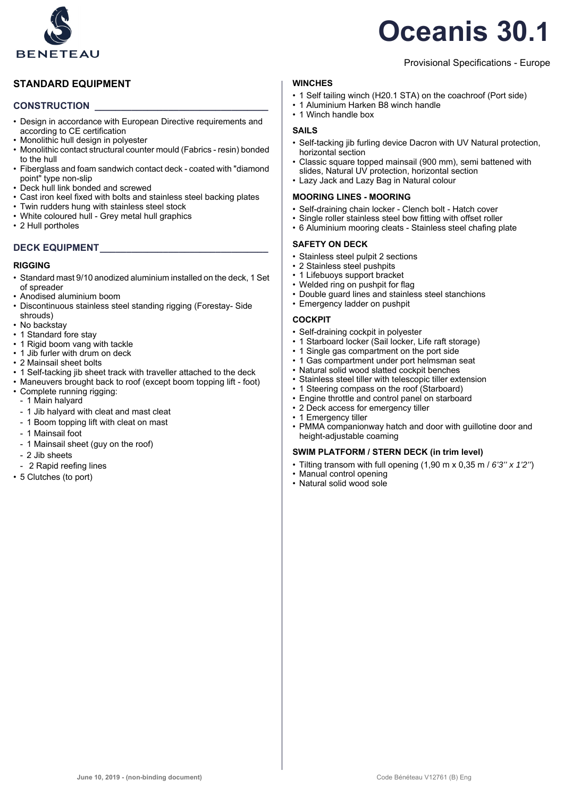

# **Oceanis 30.1**

Provisional Specifications - Europe

# **STANDARD EQUIPMENT**

# **CONSTRUCTION \_\_\_\_\_\_\_\_\_\_\_\_\_\_\_\_\_\_\_\_\_\_\_\_\_\_\_\_\_\_\_\_\_**

- Design in accordance with European Directive requirements and according to CE certification
- Monolithic hull design in polyester
- Monolithic contact structural counter mould (Fabrics resin) bonded to the hull
- Fiberglass and foam sandwich contact deck coated with "diamond point" type non-slip
- Deck hull link bonded and screwed
- Cast iron keel fixed with bolts and stainless steel backing plates
- Twin rudders hung with stainless steel stock
- White coloured hull Grey metal hull graphics
- 2 Hull portholes

# **DECK EQUIPMENT\_\_\_\_\_\_\_\_\_\_\_\_\_\_\_\_\_\_\_\_\_\_\_\_\_\_\_\_\_\_\_\_**

# **RIGGING**

- Standard mast 9/10 anodized aluminium installed on the deck, 1 Set of spreader
- Anodised aluminium boom
- Discontinuous stainless steel standing rigging (Forestay- Side shrouds)
- No backstav
- 1 Standard fore stay
- 1 Rigid boom vang with tackle
- 1 Jib furler with drum on deck
- 2 Mainsail sheet bolts
- 1 Self-tacking jib sheet track with traveller attached to the deck
- Maneuvers brought back to roof (except boom topping lift foot)
- Complete running rigging:
- 1 Main halyard
- 1 Jib halyard with cleat and mast cleat
- 1 Boom topping lift with cleat on mast
- 1 Mainsail foot
- 1 Mainsail sheet (guy on the roof)
- 2 Jib sheets
- 2 Rapid reefing lines
- 5 Clutches (to port)

# **WINCHES**

- 1 Self tailing winch (H20.1 STA) on the coachroof (Port side)
- 1 Aluminium Harken B8 winch handle
- 1 Winch handle box

# **SAILS**

- Self-tacking jib furling device Dacron with UV Natural protection, horizontal section
- Classic square topped mainsail (900 mm), semi battened with slides, Natural UV protection, horizontal section
- Lazy Jack and Lazy Bag in Natural colour

# **MOORING LINES - MOORING**

- Self-draining chain locker Clench bolt Hatch cover
- Single roller stainless steel bow fitting with offset roller
- 6 Aluminium mooring cleats Stainless steel chafing plate

# **SAFETY ON DECK**

- Stainless steel pulpit 2 sections
- 2 Stainless steel pushpits
- 1 Lifebuoys support bracket
- Welded ring on pushpit for flag
- Double guard lines and stainless steel stanchions
- Emergency ladder on pushpit

### **COCKPIT**

- Self-draining cockpit in polyester
- 1 Starboard locker (Sail locker, Life raft storage)
- 1 Single gas compartment on the port side
- 1 Gas compartment under port helmsman seat
- Natural solid wood slatted cockpit benches
- Stainless steel tiller with telescopic tiller extension
- 1 Steering compass on the roof (Starboard)
- Engine throttle and control panel on starboard
- 2 Deck access for emergency tiller
- 1 Emergency tiller
- PMMA companionway hatch and door with guillotine door and height-adjustable coaming

# **SWIM PLATFORM / STERN DECK (in trim level)**

- Tilting transom with full opening (1,90 m x 0,35 m / *6'3'' x 1'2''*)
- Manual control opening
- Natural solid wood sole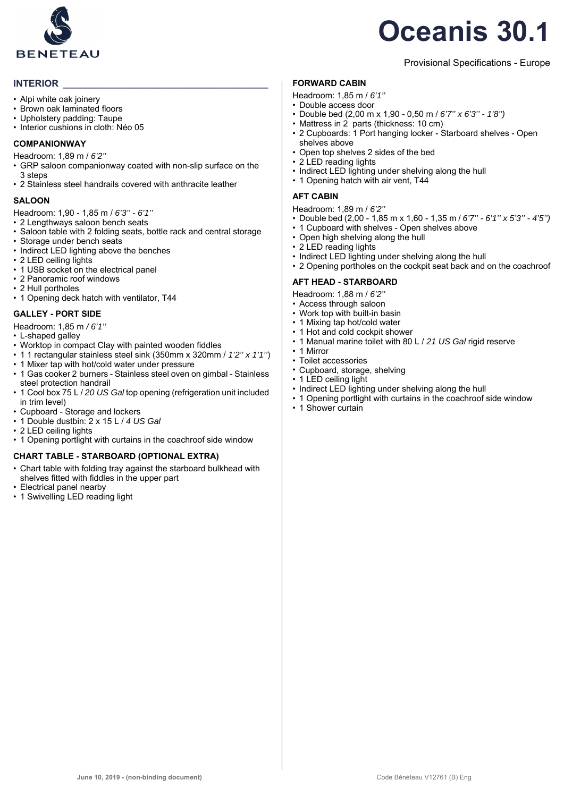

# **Oceanis 30.1**

# Provisional Specifications - Europe

# **INTERIOR**

- Alpi white oak joinery
- Brown oak laminated floors
- Upholstery padding: Taupe
- Interior cushions in cloth: Néo 05

#### **COMPANIONWAY**

Headroom: 1,89 m / *6'2''*

- GRP saloon companionway coated with non-slip surface on the 3 steps
- 2 Stainless steel handrails covered with anthracite leather

#### **SALOON**

- Headroom: 1,90 1,85 m / *6'3'' 6'1''*
- 2 Lengthways saloon bench seats
- Saloon table with 2 folding seats, bottle rack and central storage
- Storage under bench seats
- Indirect LED lighting above the benches
- 2 LED ceiling lights
- 1 USB socket on the electrical panel
- 2 Panoramic roof windows
- 2 Hull portholes
- 1 Opening deck hatch with ventilator, T44

#### **GALLEY - PORT SIDE**

- Headroom: 1,85 m */ 6'1''*
- L-shaped galley
- Worktop in compact Clay with painted wooden fiddles
- 1 1 rectangular stainless steel sink (350mm x 320mm / *1'2'' x 1'1''*)
- 1 Mixer tap with hot/cold water under pressure
- 1 Gas cooker 2 burners Stainless steel oven on gimbal Stainless steel protection handrail
- 1 Cool box 75 L / *20 US Gal* top opening (refrigeration unit included in trim level)
- Cupboard Storage and lockers
- 1 Double dustbin: 2 x 15 L / *4 US Gal*
- 2 LED ceiling lights
- 1 Opening portlight with curtains in the coachroof side window

### **CHART TABLE - STARBOARD (OPTIONAL EXTRA)**

- Chart table with folding tray against the starboard bulkhead with shelves fitted with fiddles in the upper part
- Electrical panel nearby
- 1 Swivelling LED reading light

# **FORWARD CABIN**

- Headroom: 1,85 m / *6'1''*
- Double access door
- Double bed (2,00 m x 1,90 0,50 m / *6'7'' x 6'3'' 1'8'')*
- Mattress in 2 parts (thickness: 10 cm)
- 2 Cupboards: 1 Port hanging locker Starboard shelves Open shelves above
- Open top shelves 2 sides of the bed
- 2 LED reading lights
- Indirect LED lighting under shelving along the hull
- 1 Opening hatch with air vent, T44

### **AFT CABIN**

Headroom: 1,89 m / *6'2''*

- Double bed (2,00 1,85 m x 1,60 1,35 m / *6'7'' 6'1'' x 5'3'' 4'5'')*
- 1 Cupboard with shelves Open shelves above
- Open high shelving along the hull
- 2 LED reading lights
- Indirect LED lighting under shelving along the hull
- 2 Opening portholes on the cockpit seat back and on the coachroof

#### **AFT HEAD - STARBOARD**

- Headroom: 1,88 m / *6'2''*
- Access through saloon
- Work top with built-in basin
- 1 Mixing tap hot/cold water
- 1 Hot and cold cockpit shower • 1 Manual marine toilet with 80 L / *21 US Gal* rigid reserve
- 1 Mirror
- Toilet accessories
- Cupboard, storage, shelving
- 1 LED ceiling light
- Indirect LED lighting under shelving along the hull
- 1 Opening portlight with curtains in the coachroof side window
- 1 Shower curtain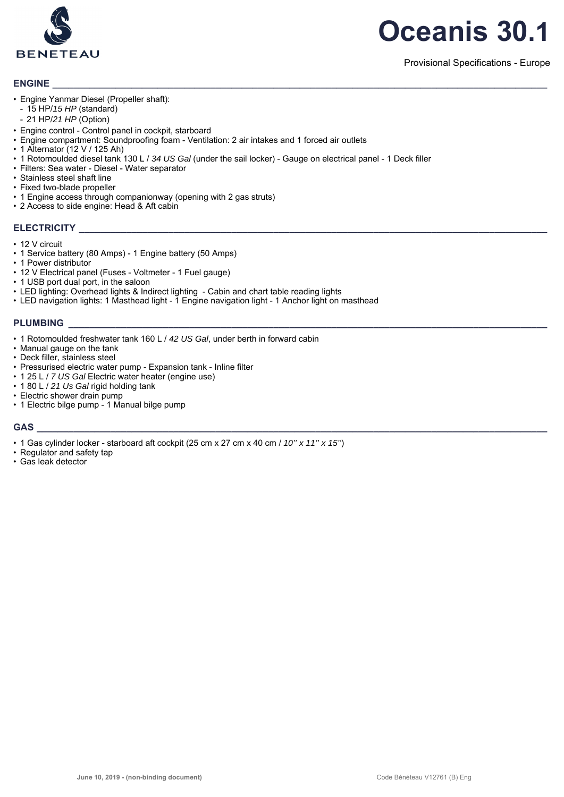

# **ENGINE \_\_\_\_\_\_\_\_\_\_\_\_\_\_\_\_\_\_\_\_\_\_\_\_\_\_\_\_\_\_\_\_\_\_\_\_\_\_\_\_\_\_\_\_\_\_\_\_\_\_\_\_\_\_\_\_\_\_\_\_\_\_\_\_\_\_\_\_\_\_\_\_\_\_\_\_\_\_\_\_\_\_\_\_\_\_\_\_\_\_\_\_\_\_**

- Engine Yanmar Diesel (Propeller shaft):
- 15 HP/*15 HP* (standard)
- 21 HP/*21 HP* (Option)
- Engine control Control panel in cockpit, starboard
- Engine compartment: Soundproofing foam Ventilation: 2 air intakes and 1 forced air outlets
- 1 Alternator (12 V / 125 Ah)
- 1 Rotomoulded diesel tank 130 L / *34 US Gal* (under the sail locker) Gauge on electrical panel 1 Deck filler
- Filters: Sea water Diesel Water separator
- Stainless steel shaft line
- Fixed two-blade propeller
- 1 Engine access through companionway (opening with 2 gas struts)
- 2 Access to side engine: Head & Aft cabin

### $ELECTRICITY$

- 12 V circuit
- 1 Service battery (80 Amps) 1 Engine battery (50 Amps)
- 1 Power distributor
- 12 V Electrical panel (Fuses Voltmeter 1 Fuel gauge)
- 1 USB port dual port, in the saloon
- LED lighting: Overhead lights & Indirect lighting Cabin and chart table reading lights
- LED navigation lights: 1 Masthead light 1 Engine navigation light 1 Anchor light on masthead

#### PLUMBING

- 1 Rotomoulded freshwater tank 160 L / *42 US Gal*, under berth in forward cabin
- Manual gauge on the tank
- Deck filler, stainless steel
- Pressurised electric water pump Expansion tank Inline filter
- 1 25 L / *7 US Gal* Electric water heater (engine use)
- 1 80 L / *21 Us Gal* rigid holding tank
- Electric shower drain pump
- 1 Electric bilge pump 1 Manual bilge pump

# **GAS \_\_\_\_\_\_\_\_\_\_\_\_\_\_\_\_\_\_\_\_\_\_\_\_\_\_\_\_\_\_\_\_\_\_\_\_\_\_\_\_\_\_\_\_\_\_\_\_\_\_\_\_\_\_\_\_\_\_\_\_\_\_\_\_\_\_\_\_\_\_\_\_\_\_\_\_\_\_\_\_\_\_\_\_\_\_\_\_\_\_\_\_\_\_\_\_\_**

- 1 Gas cylinder locker starboard aft cockpit (25 cm x 27 cm x 40 cm / *10'' x 11'' x 15''*)
- Regulator and safety tap
- Gas leak detector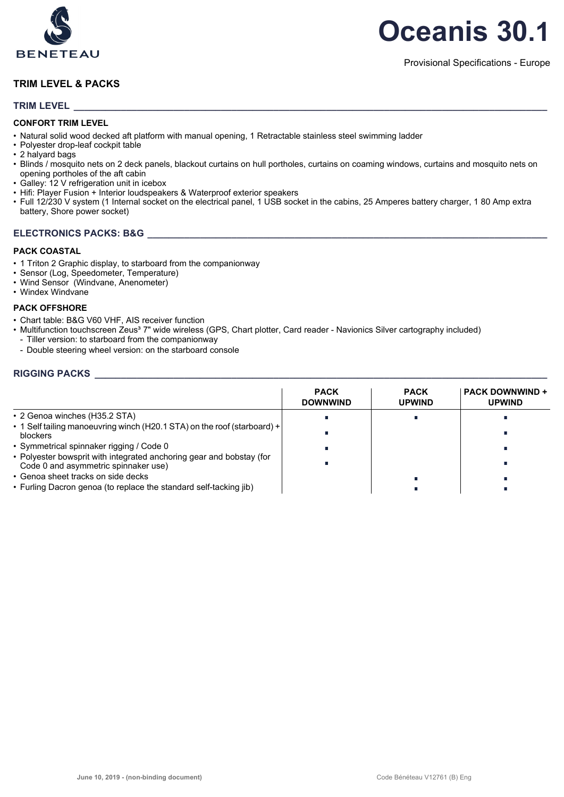

# **TRIM LEVEL & PACKS**

# **TRIM LEVEL \_\_\_\_\_\_\_\_\_\_\_\_\_\_\_\_\_\_\_\_\_\_\_\_\_\_\_\_\_\_\_\_\_\_\_\_\_\_\_\_\_\_\_\_\_\_\_\_\_\_\_\_\_\_\_\_\_\_\_\_\_\_\_\_\_\_\_\_\_\_\_\_\_\_\_\_\_\_\_\_\_\_\_\_\_\_\_\_\_\_**

### **CONFORT TRIM LEVEL**

- Natural solid wood decked aft platform with manual opening, 1 Retractable stainless steel swimming ladder
- Polyester drop-leaf cockpit table
- 2 halyard bags
- Blinds / mosquito nets on 2 deck panels, blackout curtains on hull portholes, curtains on coaming windows, curtains and mosquito nets on opening portholes of the aft cabin
- Galley: 12 V refrigeration unit in icebox
- Hifi: Player Fusion + Interior loudspeakers & Waterproof exterior speakers
- Full 12/230 V system (1 Internal socket on the electrical panel, 1 USB socket in the cabins, 25 Amperes battery charger, 1 80 Amp extra battery, Shore power socket)

# **ELECTRONICS PACKS: B&G**

#### **PACK COASTAL**

- 1 Triton 2 Graphic display, to starboard from the companionway
- Sensor (Log, Speedometer, Temperature)
- Wind Sensor (Windvane, Anenometer)
- Windex Windvane

# **PACK OFFSHORE**

- Chart table: B&G V60 VHF, AIS receiver function
- Multifunction touchscreen Zeus<sup>3</sup> 7" wide wireless (GPS, Chart plotter, Card reader Navionics Silver cartography included)
- Tiller version: to starboard from the companionway
- Double steering wheel version: on the starboard console

# **RIGGING PACKS**

|                                                                                                              | <b>PACK</b><br><b>DOWNWIND</b> | <b>PACK</b><br><b>UPWIND</b> | <b>PACK DOWNWIND +</b><br><b>UPWIND</b> |
|--------------------------------------------------------------------------------------------------------------|--------------------------------|------------------------------|-----------------------------------------|
| • 2 Genoa winches (H35.2 STA)                                                                                |                                |                              |                                         |
| • 1 Self tailing manoeuvring winch (H20.1 STA) on the roof (starboard) +<br><b>blockers</b>                  |                                |                              |                                         |
| • Symmetrical spinnaker rigging / Code 0                                                                     |                                |                              |                                         |
| • Polyester bowsprit with integrated anchoring gear and bobstay (for<br>Code 0 and asymmetric spinnaker use) |                                |                              |                                         |
| • Genoa sheet tracks on side decks                                                                           |                                |                              |                                         |
| • Furling Dacron genoa (to replace the standard self-tacking jib)                                            |                                |                              |                                         |

# **Oceanis 30.1**